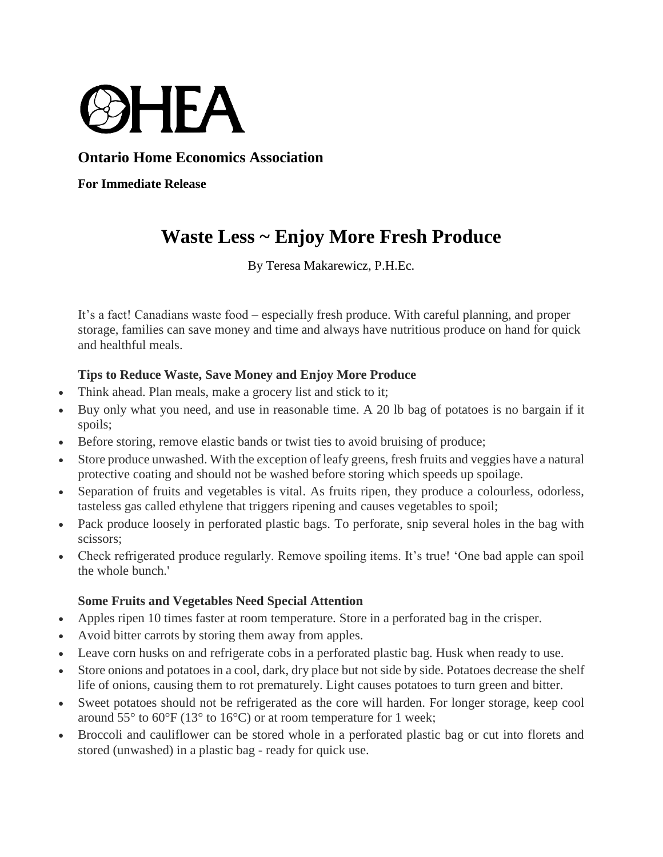

## **Ontario Home Economics Association**

**For Immediate Release**

# **Waste Less ~ Enjoy More Fresh Produce**

By Teresa Makarewicz, P.H.Ec.

It's a fact! Canadians waste food – especially fresh produce. With careful planning, and proper storage, families can save money and time and always have nutritious produce on hand for quick and healthful meals.

### **Tips to Reduce Waste, Save Money and Enjoy More Produce**

- Think ahead. Plan meals, make a grocery list and stick to it;
- Buy only what you need, and use in reasonable time. A 20 lb bag of potatoes is no bargain if it spoils;
- Before storing, remove elastic bands or twist ties to avoid bruising of produce;
- Store produce unwashed. With the exception of leafy greens, fresh fruits and veggies have a natural protective coating and should not be washed before storing which speeds up spoilage.
- Separation of fruits and vegetables is vital. As fruits ripen, they produce a colourless, odorless, tasteless gas called ethylene that triggers ripening and causes vegetables to spoil;
- Pack produce loosely in perforated plastic bags. To perforate, snip several holes in the bag with scissors;
- Check refrigerated produce regularly. Remove spoiling items. It's true! 'One bad apple can spoil the whole bunch.'

#### **Some Fruits and Vegetables Need Special Attention**

- Apples ripen 10 times faster at room temperature. Store in a perforated bag in the crisper.
- Avoid bitter carrots by storing them away from apples.
- Leave corn husks on and refrigerate cobs in a perforated plastic bag. Husk when ready to use.
- Store onions and potatoes in a cool, dark, dry place but not side by side. Potatoes decrease the shelf life of onions, causing them to rot prematurely. Light causes potatoes to turn green and bitter.
- Sweet potatoes should not be refrigerated as the core will harden. For longer storage, keep cool around  $55^{\circ}$  to  $60^{\circ}$ F (13<sup>°</sup> to 16<sup>°</sup>C) or at room temperature for 1 week;
- Broccoli and cauliflower can be stored whole in a perforated plastic bag or cut into florets and stored (unwashed) in a plastic bag - ready for quick use.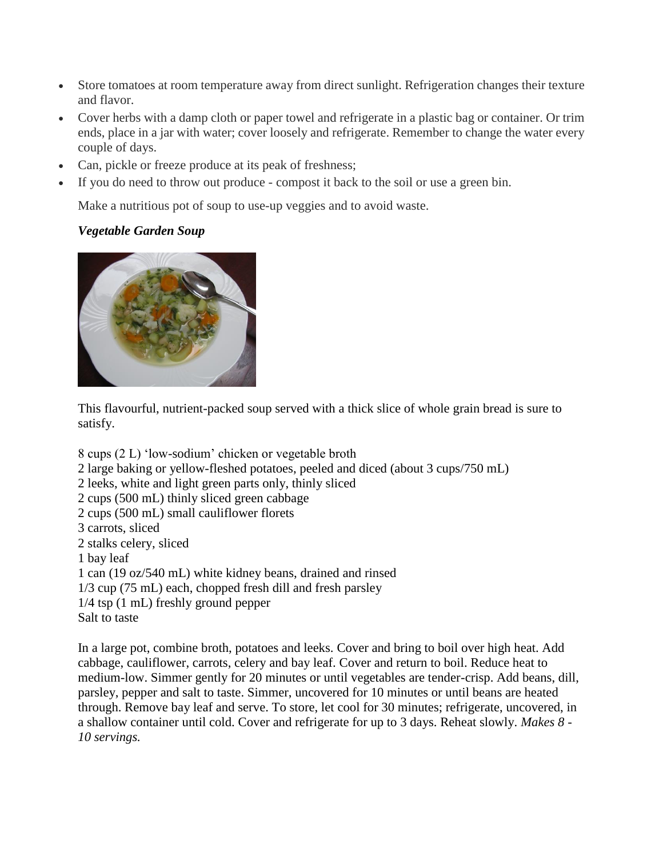- Store tomatoes at room temperature away from direct sunlight. Refrigeration changes their texture and flavor.
- Cover herbs with a damp cloth or paper towel and refrigerate in a plastic bag or container. Or trim ends, place in a jar with water; cover loosely and refrigerate. Remember to change the water every couple of days.
- Can, pickle or freeze produce at its peak of freshness;
- If you do need to throw out produce compost it back to the soil or use a green bin.

Make a nutritious pot of soup to use-up veggies and to avoid waste.

### *Vegetable Garden Soup*



This flavourful, nutrient-packed soup served with a thick slice of whole grain bread is sure to satisfy.

8 cups (2 L) 'low-sodium' chicken or vegetable broth 2 large baking or yellow-fleshed potatoes, peeled and diced (about 3 cups/750 mL) 2 leeks, white and light green parts only, thinly sliced 2 cups (500 mL) thinly sliced green cabbage 2 cups (500 mL) small cauliflower florets 3 carrots, sliced 2 stalks celery, sliced 1 bay leaf 1 can (19 oz/540 mL) white kidney beans, drained and rinsed 1/3 cup (75 mL) each, chopped fresh dill and fresh parsley 1/4 tsp (1 mL) freshly ground pepper Salt to taste

In a large pot, combine broth, potatoes and leeks. Cover and bring to boil over high heat. Add cabbage, cauliflower, carrots, celery and bay leaf. Cover and return to boil. Reduce heat to medium-low. Simmer gently for 20 minutes or until vegetables are tender-crisp. Add beans, dill, parsley, pepper and salt to taste. Simmer, uncovered for 10 minutes or until beans are heated through. Remove bay leaf and serve. To store, let cool for 30 minutes; refrigerate, uncovered, in a shallow container until cold. Cover and refrigerate for up to 3 days. Reheat slowly. *Makes 8 - 10 servings.*